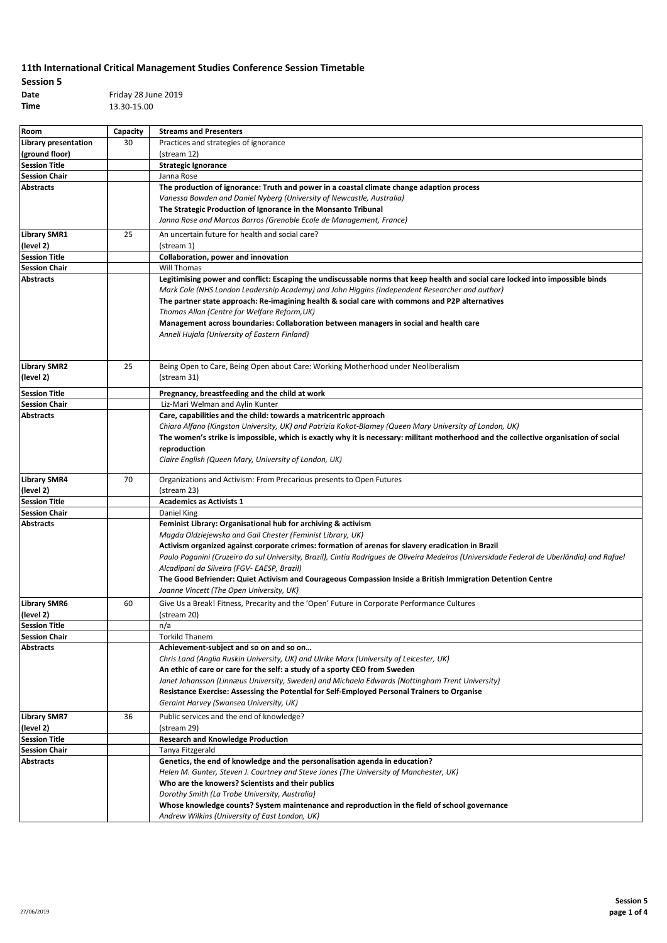# **Session 5**

**Date** Friday 28 June 2019 **Time** 13.30-15.00

| Room                 | Capacity | <b>Streams and Presenters</b>                                                                                                              |
|----------------------|----------|--------------------------------------------------------------------------------------------------------------------------------------------|
| Library presentation | 30       | Practices and strategies of ignorance                                                                                                      |
| (ground floor)       |          | (stream 12)                                                                                                                                |
| <b>Session Title</b> |          | <b>Strategic Ignorance</b>                                                                                                                 |
| <b>Session Chair</b> |          | Janna Rose                                                                                                                                 |
| Abstracts            |          | The production of ignorance: Truth and power in a coastal climate change adaption process                                                  |
|                      |          | Vanessa Bowden and Daniel Nyberg (University of Newcastle, Australia)                                                                      |
|                      |          | The Strategic Production of Ignorance in the Monsanto Tribunal                                                                             |
|                      |          | Janna Rose and Marcos Barros (Grenoble Ecole de Management, France)                                                                        |
| <b>Library SMR1</b>  | 25       | An uncertain future for health and social care?                                                                                            |
| (level 2)            |          | (stream 1)                                                                                                                                 |
| <b>Session Title</b> |          | Collaboration, power and innovation                                                                                                        |
| <b>Session Chair</b> |          | Will Thomas                                                                                                                                |
| <b>Abstracts</b>     |          | Legitimising power and conflict: Escaping the undiscussable norms that keep health and social care locked into impossible binds            |
|                      |          | Mark Cole (NHS London Leadership Academy) and John Higgins (Independent Researcher and author)                                             |
|                      |          | The partner state approach: Re-imagining health & social care with commons and P2P alternatives                                            |
|                      |          | Thomas Allan (Centre for Welfare Reform, UK)                                                                                               |
|                      |          | Management across boundaries: Collaboration between managers in social and health care                                                     |
|                      |          | Anneli Hujala (University of Eastern Finland)                                                                                              |
|                      |          |                                                                                                                                            |
|                      |          |                                                                                                                                            |
| <b>Library SMR2</b>  | 25       | Being Open to Care, Being Open about Care: Working Motherhood under Neoliberalism                                                          |
| (level 2)            |          | (stream 31)                                                                                                                                |
| <b>Session Title</b> |          | Pregnancy, breastfeeding and the child at work                                                                                             |
| <b>Session Chair</b> |          | Liz-Mari Welman and Aylin Kunter                                                                                                           |
| <b>Abstracts</b>     |          | Care, capabilities and the child: towards a matricentric approach                                                                          |
|                      |          | Chiara Alfano (Kingston University, UK) and Patrizia Kokot-Blamey (Queen Mary University of London, UK)                                    |
|                      |          | The women's strike is impossible, which is exactly why it is necessary: militant motherhood and the collective organisation of social      |
|                      |          | reproduction                                                                                                                               |
|                      |          | Claire English (Queen Mary, University of London, UK)                                                                                      |
| <b>Library SMR4</b>  | 70       | Organizations and Activism: From Precarious presents to Open Futures                                                                       |
| (level 2)            |          | (stream 23)                                                                                                                                |
| <b>Session Title</b> |          | <b>Academics as Activists 1</b>                                                                                                            |
| <b>Session Chair</b> |          | Daniel King                                                                                                                                |
| Abstracts            |          | Feminist Library: Organisational hub for archiving & activism                                                                              |
|                      |          | Magda Oldziejewska and Gail Chester (Feminist Library, UK)                                                                                 |
|                      |          | Activism organized against corporate crimes: formation of arenas for slavery eradication in Brazil                                         |
|                      |          | Paulo Paganini (Cruzeiro do sul University, Brazil), Cintia Rodrigues de Oliveira Medeiros (Universidade Federal de Uberlândia) and Rafael |
|                      |          | Alcadipani da Silveira (FGV- EAESP, Brazil)                                                                                                |
|                      |          | The Good Befriender: Quiet Activism and Courageous Compassion Inside a British Immigration Detention Centre                                |
|                      |          | Joanne Vincett (The Open University, UK)                                                                                                   |
| <b>Library SMR6</b>  | 60       | Give Us a Break! Fitness, Precarity and the 'Open' Future in Corporate Performance Cultures                                                |
| (level 2)            |          | (stream 20)                                                                                                                                |
| <b>Session Title</b> |          | n/a                                                                                                                                        |
| <b>Session Chair</b> |          | <b>Torkild Thanem</b>                                                                                                                      |
| Abstracts            |          | Achievement-subject and so on and so on                                                                                                    |
|                      |          | Chris Land (Anglia Ruskin University, UK) and Ulrike Marx (University of Leicester, UK)                                                    |
|                      |          | An ethic of care or care for the self: a study of a sporty CEO from Sweden                                                                 |
|                      |          | Janet Johansson (Linnæus University, Sweden) and Michaela Edwards (Nottingham Trent University)                                            |
|                      |          | Resistance Exercise: Assessing the Potential for Self-Employed Personal Trainers to Organise                                               |
|                      |          | Geraint Harvey (Swansea University, UK)                                                                                                    |
| <b>Library SMR7</b>  | 36       | Public services and the end of knowledge?                                                                                                  |
| (level 2)            |          | (stream 29)                                                                                                                                |
| <b>Session Title</b> |          | <b>Research and Knowledge Production</b>                                                                                                   |
| <b>Session Chair</b> |          | Tanya Fitzgerald                                                                                                                           |
| Abstracts            |          | Genetics, the end of knowledge and the personalisation agenda in education?                                                                |
|                      |          | Helen M. Gunter, Steven J. Courtney and Steve Jones (The University of Manchester, UK)                                                     |
|                      |          | Who are the knowers? Scientists and their publics                                                                                          |
|                      |          | Dorothy Smith (La Trobe University, Australia)                                                                                             |
|                      |          | Whose knowledge counts? System maintenance and reproduction in the field of school governance                                              |
|                      |          | Andrew Wilkins (University of East London, UK)                                                                                             |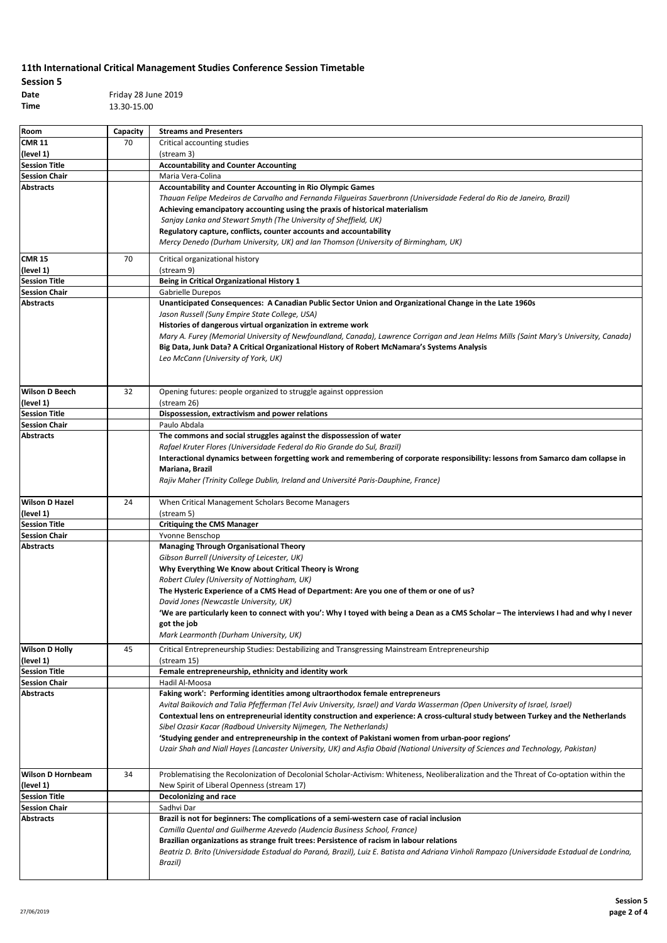## **Session 5 Date** Friday 28 June 2019

**Time** 13.30-15.00

| Room                     | Capacity | <b>Streams and Presenters</b>                                                                                                               |
|--------------------------|----------|---------------------------------------------------------------------------------------------------------------------------------------------|
| <b>CMR 11</b>            | 70       | Critical accounting studies                                                                                                                 |
| (level 1)                |          | (stream 3)                                                                                                                                  |
| <b>Session Title</b>     |          | <b>Accountability and Counter Accounting</b>                                                                                                |
| <b>Session Chair</b>     |          | Maria Vera-Colina                                                                                                                           |
| <b>Abstracts</b>         |          | <b>Accountability and Counter Accounting in Rio Olympic Games</b>                                                                           |
|                          |          | Thauan Felipe Medeiros de Carvalho and Fernanda Filgueiras Sauerbronn (Universidade Federal do Rio de Janeiro, Brazil)                      |
|                          |          | Achieving emancipatory accounting using the praxis of historical materialism                                                                |
|                          |          | Sanjay Lanka and Stewart Smyth (The University of Sheffield, UK)                                                                            |
|                          |          | Regulatory capture, conflicts, counter accounts and accountability                                                                          |
|                          |          |                                                                                                                                             |
|                          |          | Mercy Denedo (Durham University, UK) and Ian Thomson (University of Birmingham, UK)                                                         |
| <b>CMR 15</b>            | 70       | Critical organizational history                                                                                                             |
| (level 1)                |          | (stream 9)                                                                                                                                  |
| <b>Session Title</b>     |          | Being in Critical Organizational History 1                                                                                                  |
| <b>Session Chair</b>     |          | Gabrielle Durepos                                                                                                                           |
| <b>Abstracts</b>         |          |                                                                                                                                             |
|                          |          | Unanticipated Consequences: A Canadian Public Sector Union and Organizational Change in the Late 1960s                                      |
|                          |          | Jason Russell (Suny Empire State College, USA)                                                                                              |
|                          |          | Histories of dangerous virtual organization in extreme work                                                                                 |
|                          |          | Mary A. Furey (Memorial University of Newfoundland, Canada), Lawrence Corrigan and Jean Helms Mills (Saint Mary's University, Canada)       |
|                          |          | Big Data, Junk Data? A Critical Organizational History of Robert McNamara's Systems Analysis                                                |
|                          |          | Leo McCann (University of York, UK)                                                                                                         |
|                          |          |                                                                                                                                             |
|                          |          |                                                                                                                                             |
| <b>Wilson D Beech</b>    | 32       | Opening futures: people organized to struggle against oppression                                                                            |
| (level 1)                |          | (stream 26)                                                                                                                                 |
| <b>Session Title</b>     |          | Dispossession, extractivism and power relations                                                                                             |
| <b>Session Chair</b>     |          | Paulo Abdala                                                                                                                                |
|                          |          |                                                                                                                                             |
| <b>Abstracts</b>         |          | The commons and social struggles against the dispossession of water                                                                         |
|                          |          | Rafael Kruter Flores (Universidade Federal do Rio Grande do Sul, Brazil)                                                                    |
|                          |          | Interactional dynamics between forgetting work and remembering of corporate responsibility: lessons from Samarco dam collapse in            |
|                          |          | Mariana, Brazil                                                                                                                             |
|                          |          | Rajiv Maher (Trinity College Dublin, Ireland and Université Paris-Dauphine, France)                                                         |
|                          |          |                                                                                                                                             |
| <b>Wilson D Hazel</b>    | 24       | When Critical Management Scholars Become Managers                                                                                           |
| (level 1)                |          | (stream 5)                                                                                                                                  |
| <b>Session Title</b>     |          | <b>Critiquing the CMS Manager</b>                                                                                                           |
|                          |          |                                                                                                                                             |
| <b>Session Chair</b>     |          | Yvonne Benschop                                                                                                                             |
| <b>Abstracts</b>         |          | <b>Managing Through Organisational Theory</b>                                                                                               |
|                          |          | Gibson Burrell (University of Leicester, UK)                                                                                                |
|                          |          | Why Everything We Know about Critical Theory is Wrong                                                                                       |
|                          |          | Robert Cluley (University of Nottingham, UK)                                                                                                |
|                          |          | The Hysteric Experience of a CMS Head of Department: Are you one of them or one of us?                                                      |
|                          |          | David Jones (Newcastle University, UK)                                                                                                      |
|                          |          | 'We are particularly keen to connect with you': Why I toyed with being a Dean as a CMS Scholar – The interviews I had and why I never       |
|                          |          | got tne job                                                                                                                                 |
|                          |          | Mark Learmonth (Durham University, UK)                                                                                                      |
|                          |          |                                                                                                                                             |
| <b>Wilson D Holly</b>    | 45       | Critical Entrepreneurship Studies: Destabilizing and Transgressing Mainstream Entrepreneurship                                              |
| (level 1)                |          | (stream 15)                                                                                                                                 |
| <b>Session Title</b>     |          | Female entrepreneurship, ethnicity and identity work                                                                                        |
| <b>Session Chair</b>     |          | Hadil Al-Moosa                                                                                                                              |
| <b>Abstracts</b>         |          | Faking work': Performing identities among ultraorthodox female entrepreneurs                                                                |
|                          |          | Avital Baikovich and Talia Pfefferman (Tel Aviv University, Israel) and Varda Wasserman (Open University of Israel, Israel)                 |
|                          |          | Contextual lens on entrepreneurial identity construction and experience: A cross-cultural study between Turkey and the Netherlands          |
|                          |          | Sibel Ozasir Kacar (Radboud University Nijmegen, The Netherlands)                                                                           |
|                          |          |                                                                                                                                             |
|                          |          | 'Studying gender and entrepreneurship in the context of Pakistani women from urban-poor regions'                                            |
|                          |          | Uzair Shah and Niall Hayes (Lancaster University, UK) and Asfia Obaid (National University of Sciences and Technology, Pakistan)            |
|                          |          |                                                                                                                                             |
| <b>Wilson D Hornbeam</b> | 34       | Problematising the Recolonization of Decolonial Scholar-Activism: Whiteness, Neoliberalization and the Threat of Co-optation within the     |
| (level 1)                |          | New Spirit of Liberal Openness (stream 17)                                                                                                  |
| <b>Session Title</b>     |          | Decolonizing and race                                                                                                                       |
| <b>Session Chair</b>     |          | Sadhvi Dar                                                                                                                                  |
|                          |          |                                                                                                                                             |
| <b>Abstracts</b>         |          | Brazil is not for beginners: The complications of a semi-western case of racial inclusion                                                   |
|                          |          | Camilla Quental and Guilherme Azevedo (Audencia Business School, France)                                                                    |
|                          |          | Brazilian organizations as strange fruit trees: Persistence of racism in labour relations                                                   |
|                          |          | Beatriz D. Brito (Universidade Estadual do Paraná, Brazil), Luiz E. Batista and Adriana Vinholi Rampazo (Universidade Estadual de Londrina, |
|                          |          | Brazil)                                                                                                                                     |
|                          |          |                                                                                                                                             |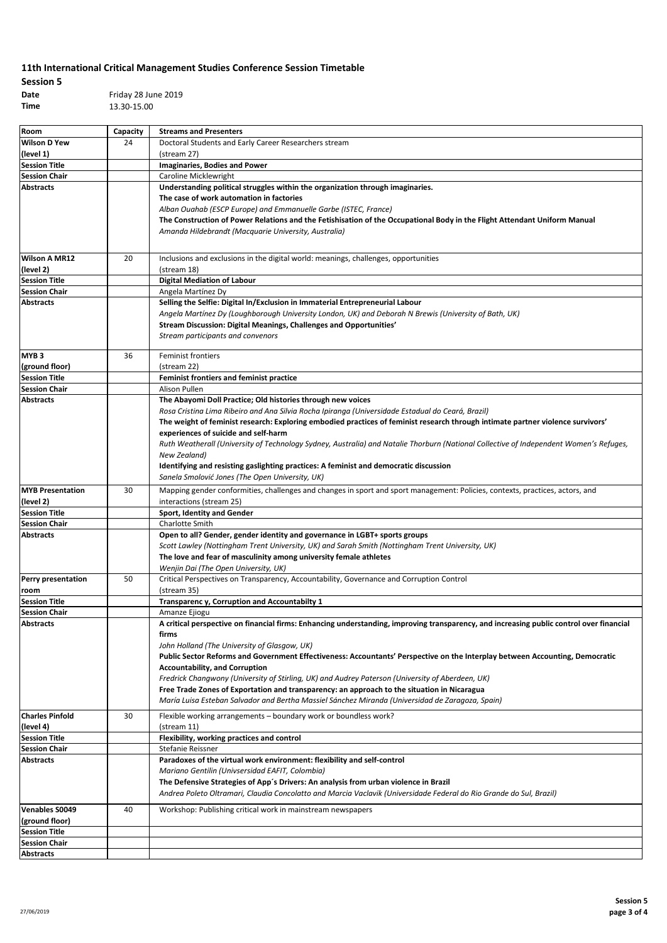| <b>Session 5</b> |              |
|------------------|--------------|
| Date             | Friday 28 Ju |
| Time             | 13.30-15.00  |

**Date** Friday 28 June 2019

| Room                                         | Capacity | <b>Streams and Presenters</b>                                                                                                                                                                               |
|----------------------------------------------|----------|-------------------------------------------------------------------------------------------------------------------------------------------------------------------------------------------------------------|
| <b>Wilson D Yew</b>                          | 24       | Doctoral Students and Early Career Researchers stream                                                                                                                                                       |
| (level 1)                                    |          | (stream 27)                                                                                                                                                                                                 |
| <b>Session Title</b>                         |          | <b>Imaginaries, Bodies and Power</b>                                                                                                                                                                        |
| <b>Session Chair</b>                         |          | Caroline Micklewright                                                                                                                                                                                       |
| <b>Abstracts</b>                             |          | Understanding political struggles within the organization through imaginaries.                                                                                                                              |
|                                              |          | The case of work automation in factories                                                                                                                                                                    |
|                                              |          | Alban Ouahab (ESCP Europe) and Emmanuelle Garbe (ISTEC, France)                                                                                                                                             |
|                                              |          | The Construction of Power Relations and the Fetishisation of the Occupational Body in the Flight Attendant Uniform Manual                                                                                   |
|                                              |          | Amanda Hildebrandt (Macquarie University, Australia)                                                                                                                                                        |
|                                              |          |                                                                                                                                                                                                             |
| <b>Wilson A MR12</b>                         | 20       | Inclusions and exclusions in the digital world: meanings, challenges, opportunities                                                                                                                         |
| (level 2)                                    |          | (stream 18)                                                                                                                                                                                                 |
| <b>Session Title</b>                         |          | <b>Digital Mediation of Labour</b>                                                                                                                                                                          |
| <b>Session Chair</b>                         |          | Angela Martínez Dy                                                                                                                                                                                          |
| <b>Abstracts</b>                             |          | Selling the Selfie: Digital In/Exclusion in Immaterial Entrepreneurial Labour                                                                                                                               |
|                                              |          | Angela Martínez Dy (Loughborough University London, UK) and Deborah N Brewis (University of Bath, UK)                                                                                                       |
|                                              |          | Stream Discussion: Digital Meanings, Challenges and Opportunities'                                                                                                                                          |
|                                              |          | Stream participants and convenors                                                                                                                                                                           |
|                                              |          |                                                                                                                                                                                                             |
| MYB <sub>3</sub>                             | 36       | Feminist frontiers                                                                                                                                                                                          |
| (ground floor)                               |          | (stream 22)                                                                                                                                                                                                 |
| <b>Session Title</b><br><b>Session Chair</b> |          | Feminist frontiers and feminist practice<br>Alison Pullen                                                                                                                                                   |
| <b>Abstracts</b>                             |          |                                                                                                                                                                                                             |
|                                              |          | The Abayomi Doll Practice; Old histories through new voices<br>Rosa Cristina Lima Ribeiro and Ana Silvia Rocha Ipiranga (Universidade Estadual do Ceará, Brazil)                                            |
|                                              |          | The weight of feminist research: Exploring embodied practices of feminist research through intimate partner violence survivors'                                                                             |
|                                              |          | experiences of suicide and self-harm                                                                                                                                                                        |
|                                              |          | Ruth Weatherall (University of Technology Sydney, Australia) and Natalie Thorburn (National Collective of Independent Women's Refuges,                                                                      |
|                                              |          | New Zealand)                                                                                                                                                                                                |
|                                              |          | Identifying and resisting gaslighting practices: A feminist and democratic discussion                                                                                                                       |
|                                              |          | Sanela Smolović Jones (The Open University, UK)                                                                                                                                                             |
| <b>MYB Presentation</b>                      | 30       | Mapping gender conformities, challenges and changes in sport and sport management: Policies, contexts, practices, actors, and                                                                               |
| (level 2)                                    |          | interactions (stream 25)                                                                                                                                                                                    |
| <b>Session Title</b>                         |          | Sport, Identity and Gender                                                                                                                                                                                  |
| <b>Session Chair</b>                         |          | Charlotte Smith                                                                                                                                                                                             |
| <b>Abstracts</b>                             |          | Open to all? Gender, gender identity and governance in LGBT+ sports groups                                                                                                                                  |
|                                              |          | Scott Lawley (Nottingham Trent University, UK) and Sarah Smith (Nottingham Trent University, UK)                                                                                                            |
|                                              |          | The love and fear of masculinity among university female athletes                                                                                                                                           |
|                                              |          | Wenjin Dai (The Open University, UK)                                                                                                                                                                        |
| Perry presentation                           | 50       | Critical Perspectives on Transparency, Accountability, Governance and Corruption Control                                                                                                                    |
| room                                         |          | (stream 35)                                                                                                                                                                                                 |
| <b>Session Title</b>                         |          | Transparenc y, Corruption and Accountabilty 1                                                                                                                                                               |
| <b>Session Chair</b>                         |          | Amanze Ejiogu                                                                                                                                                                                               |
| <b>Abstracts</b>                             |          | A critical perspective on financial firms: Enhancing understanding, improving transparency, and increasing public control over financial                                                                    |
|                                              |          | firms                                                                                                                                                                                                       |
|                                              |          | John Holland (The University of Glasgow, UK)                                                                                                                                                                |
|                                              |          | Public Sector Reforms and Government Effectiveness: Accountants' Perspective on the Interplay between Accounting, Democratic                                                                                |
|                                              |          | <b>Accountability, and Corruption</b>                                                                                                                                                                       |
|                                              |          | Fredrick Changwony (University of Stirling, UK) and Audrey Paterson (University of Aberdeen, UK)<br>Free Trade Zones of Exportation and transparency: an approach to the situation in Nicaragua             |
|                                              |          | María Luisa Esteban Salvador and Bertha Massiel Sánchez Miranda (Universidad de Zaragoza, Spain)                                                                                                            |
|                                              |          |                                                                                                                                                                                                             |
| <b>Charles Pinfold</b>                       | 30       | Flexible working arrangements - boundary work or boundless work?                                                                                                                                            |
| (level 4)                                    |          | (stream 11)                                                                                                                                                                                                 |
| <b>Session Title</b>                         |          | Flexibility, working practices and control                                                                                                                                                                  |
| <b>Session Chair</b>                         |          | Stefanie Reissner                                                                                                                                                                                           |
| <b>Abstracts</b>                             |          | Paradoxes of the virtual work environment: flexibility and self-control                                                                                                                                     |
|                                              |          | Mariano Gentilin (Univsersidad EAFIT, Colombia)                                                                                                                                                             |
|                                              |          | The Defensive Strategies of App's Drivers: An analysis from urban violence in Brazil<br>Andrea Poleto Oltramari, Claudia Concolatto and Marcia Vaclavik (Universidade Federal do Rio Grande do Sul, Brazil) |
|                                              |          |                                                                                                                                                                                                             |
| <b>Venables S0049</b>                        | 40       | Workshop: Publishing critical work in mainstream newspapers                                                                                                                                                 |
| (ground floor)                               |          |                                                                                                                                                                                                             |
| <b>Session Title</b>                         |          |                                                                                                                                                                                                             |
| <b>Session Chair</b>                         |          |                                                                                                                                                                                                             |
| <b>Abstracts</b>                             |          |                                                                                                                                                                                                             |